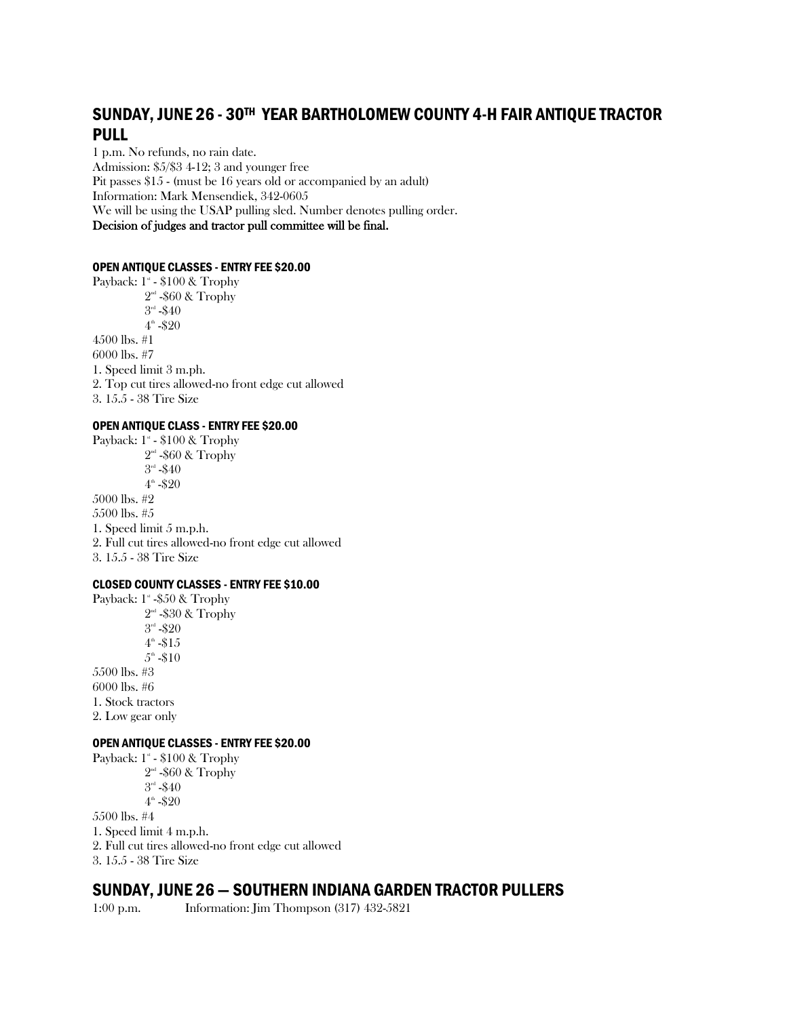# SUNDAY, JUNE 26 - 30TH YEAR BARTHOLOMEW COUNTY 4-H FAIR ANTIQUE TRACTOR PULL

1 p.m. No refunds, no rain date. Admission: \$5/\$3 4-12; 3 and younger free Pit passes \$15 - (must be 16 years old or accompanied by an adult) Information: Mark Mensendiek, 342-0605 We will be using the USAP pulling sled. Number denotes pulling order. Decision of judges and tractor pull committee will be final.

#### OPEN ANTIQUE CLASSES - ENTRY FEE \$20.00

Payback: 1<sup>s</sup> - \$100 & Trophy  $2<sup>nd</sup>$  -\$60 & Trophy  $3^{\text{nd}}$  -\$40  $4^{\circ}$  -\$20 4500 lbs. #1 6000 lbs. #7 1. Speed limit 3 m.ph. 2. Top cut tires allowed-no front edge cut allowed 3. 15.5 - 38 Tire Size

## OPEN ANTIQUE CLASS - ENTRY FEE \$20.00

Payback: 1<sup>s</sup> - \$100 & Trophy  $2^{\scriptscriptstyle{\mathrm{nd}}}$  -\$60 & Trophy  $3^{\scriptscriptstyle{\rm nd}}$  -\$40  $4^{\circ}$  -\$20 5000 lbs. #2 5500 lbs. #5 1. Speed limit 5 m.p.h. 2. Full cut tires allowed-no front edge cut allowed 3. 15.5 - 38 Tire Size

#### CLOSED COUNTY CLASSES - ENTRY FEE \$10.00

Payback: 1<sup>s</sup> -\$50 & Trophy 2<sup>nd</sup> -\$30 & Trophy  $3^{\scriptscriptstyle{\rm nd}}$  -\$20  $4^{\scriptscriptstyle\rm th}$  - $\$15$  $5^{\textrm{\tiny th}}$  -\$10 5500 lbs. #3 6000 lbs. #6 1. Stock tractors 2. Low gear only

#### OPEN ANTIQUE CLASSES - ENTRY FEE \$20.00

Payback:  $1^*$  -  $$100 \&$  Trophy  $2<sup>nd</sup>$  -\$60 & Trophy  $3^{\scriptscriptstyle \rm rd}$  -\$40  $4^{\circ}$  -\$20 5500 lbs. #4 1. Speed limit 4 m.p.h. 2. Full cut tires allowed-no front edge cut allowed 3. 15.5 - 38 Tire Size

## SUNDAY, JUNE 26 — SOUTHERN INDIANA GARDEN TRACTOR PULLERS

1:00 p.m. Information: Jim Thompson (317) 432-5821